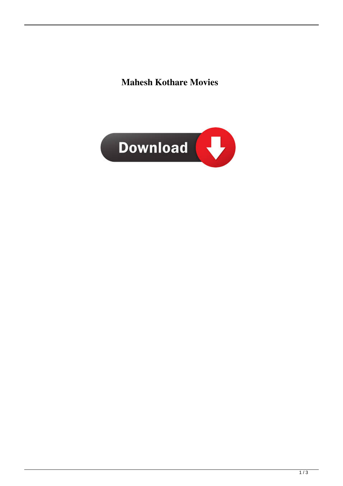**Mahesh Kothare Movies**

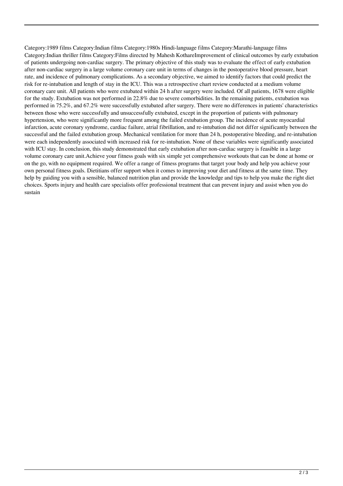Category:1989 films Category:Indian films Category:1980s Hindi-language films Category:Marathi-language films Category:Indian thriller films Category:Films directed by Mahesh KothareImprovement of clinical outcomes by early extubation of patients undergoing non-cardiac surgery. The primary objective of this study was to evaluate the effect of early extubation after non-cardiac surgery in a large volume coronary care unit in terms of changes in the postoperative blood pressure, heart rate, and incidence of pulmonary complications. As a secondary objective, we aimed to identify factors that could predict the risk for re-intubation and length of stay in the ICU. This was a retrospective chart review conducted at a medium volume coronary care unit. All patients who were extubated within 24 h after surgery were included. Of all patients, 1678 were eligible for the study. Extubation was not performed in 22.8% due to severe comorbidities. In the remaining patients, extubation was performed in 75.2%, and 67.2% were successfully extubated after surgery. There were no differences in patients' characteristics between those who were successfully and unsuccessfully extubated, except in the proportion of patients with pulmonary hypertension, who were significantly more frequent among the failed extubation group. The incidence of acute myocardial infarction, acute coronary syndrome, cardiac failure, atrial fibrillation, and re-intubation did not differ significantly between the successful and the failed extubation group. Mechanical ventilation for more than 24 h, postoperative bleeding, and re-intubation were each independently associated with increased risk for re-intubation. None of these variables were significantly associated with ICU stay. In conclusion, this study demonstrated that early extubation after non-cardiac surgery is feasible in a large volume coronary care unit.Achieve your fitness goals with six simple yet comprehensive workouts that can be done at home or on the go, with no equipment required. We offer a range of fitness programs that target your body and help you achieve your own personal fitness goals. Dietitians offer support when it comes to improving your diet and fitness at the same time. They help by guiding you with a sensible, balanced nutrition plan and provide the knowledge and tips to help you make the right diet choices. Sports injury and health care specialists offer professional treatment that can prevent injury and assist when you do sustain